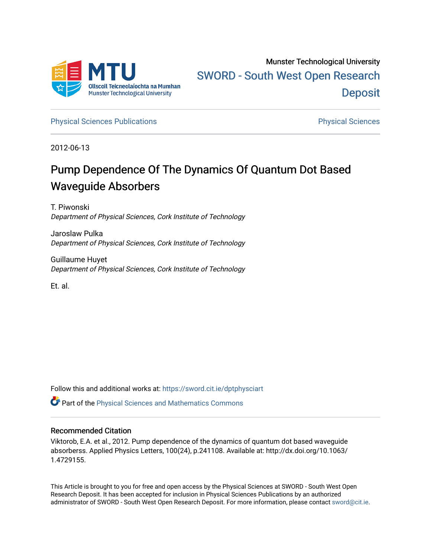

[Physical Sciences Publications](https://sword.cit.ie/dptphysciart) **Physical Sciences** Physical Sciences

2012-06-13

# Pump Dependence Of The Dynamics Of Quantum Dot Based Waveguide Absorbers

T. Piwonski Department of Physical Sciences, Cork Institute of Technology

Jaroslaw Pulka Department of Physical Sciences, Cork Institute of Technology

Guillaume Huyet Department of Physical Sciences, Cork Institute of Technology

Et. al.

Follow this and additional works at: [https://sword.cit.ie/dptphysciart](https://sword.cit.ie/dptphysciart?utm_source=sword.cit.ie%2Fdptphysciart%2F32&utm_medium=PDF&utm_campaign=PDFCoverPages)

Part of the [Physical Sciences and Mathematics Commons](http://network.bepress.com/hgg/discipline/114?utm_source=sword.cit.ie%2Fdptphysciart%2F32&utm_medium=PDF&utm_campaign=PDFCoverPages) 

#### Recommended Citation

Viktorob, E.A. et al., 2012. Pump dependence of the dynamics of quantum dot based waveguide absorberss. Applied Physics Letters, 100(24), p.241108. Available at: http://dx.doi.org/10.1063/ 1.4729155.

This Article is brought to you for free and open access by the Physical Sciences at SWORD - South West Open Research Deposit. It has been accepted for inclusion in Physical Sciences Publications by an authorized administrator of SWORD - South West Open Research Deposit. For more information, please contact [sword@cit.ie.](mailto:sword@cit.ie)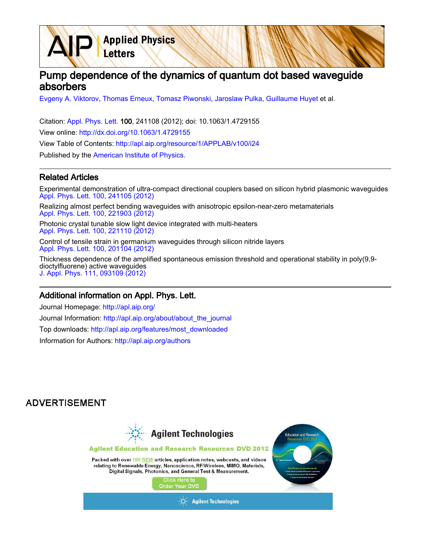# Pump dependence of the dynamics of quantum dot based waveguide absorbers

[Evgeny A. Viktorov](http://apl.aip.org/search?sortby=newestdate&q=&searchzone=2&searchtype=searchin&faceted=faceted&key=AIP_ALL&possible1=Evgeny A. Viktorov&possible1zone=author&alias=&displayid=AIP&ver=pdfcov), [Thomas Erneux](http://apl.aip.org/search?sortby=newestdate&q=&searchzone=2&searchtype=searchin&faceted=faceted&key=AIP_ALL&possible1=Thomas Erneux&possible1zone=author&alias=&displayid=AIP&ver=pdfcov), [Tomasz Piwonski,](http://apl.aip.org/search?sortby=newestdate&q=&searchzone=2&searchtype=searchin&faceted=faceted&key=AIP_ALL&possible1=Tomasz Piwonski&possible1zone=author&alias=&displayid=AIP&ver=pdfcov) [Jaroslaw Pulka,](http://apl.aip.org/search?sortby=newestdate&q=&searchzone=2&searchtype=searchin&faceted=faceted&key=AIP_ALL&possible1=Jaroslaw Pulka&possible1zone=author&alias=&displayid=AIP&ver=pdfcov) [Guillaume Huyet](http://apl.aip.org/search?sortby=newestdate&q=&searchzone=2&searchtype=searchin&faceted=faceted&key=AIP_ALL&possible1=Guillaume Huyet&possible1zone=author&alias=&displayid=AIP&ver=pdfcov) et al.

Citation: [Appl. Phys. Lett. 1](http://apl.aip.org/?ver=pdfcov)00, 241108 (2012); doi: 10.1063/1.4729155 View online: [http://dx.doi.org/10.1063/1.4729155](http://link.aip.org/link/doi/10.1063/1.4729155?ver=pdfcov) View Table of Contents: [http://apl.aip.org/resource/1/APPLAB/v100/i24](http://apl.aip.org/resource/1/APPLAB/v100/i24?ver=pdfcov) Published by the [American Institute of Physics.](http://www.aip.org/?ver=pdfcov)

**Applied Physics** 

Letters

#### Related Articles

Experimental demonstration of ultra-compact directional couplers based on silicon hybrid plasmonic waveguides [Appl. Phys. Lett. 100, 241105 \(2012\)](http://link.aip.org/link/doi/10.1063/1.4729018?ver=pdfcov)

Realizing almost perfect bending waveguides with anisotropic epsilon-near-zero metamaterials [Appl. Phys. Lett. 100, 221903 \(2012\)](http://link.aip.org/link/doi/10.1063/1.4723844?ver=pdfcov)

Photonic crystal tunable slow light device integrated with multi-heaters [Appl. Phys. Lett. 100, 221110 \(2012\)](http://link.aip.org/link/doi/10.1063/1.4724191?ver=pdfcov)

Control of tensile strain in germanium waveguides through silicon nitride layers [Appl. Phys. Lett. 100, 201104 \(2012\)](http://link.aip.org/link/doi/10.1063/1.4718525?ver=pdfcov)

Thickness dependence of the amplified spontaneous emission threshold and operational stability in poly(9,9 dioctylfluorene) active waveguides [J. Appl. Phys. 111, 093109 \(2012\)](http://link.aip.org/link/doi/10.1063/1.4711993?ver=pdfcov)

#### Additional information on Appl. Phys. Lett.

Journal Homepage: [http://apl.aip.org/](http://apl.aip.org/?ver=pdfcov) Journal Information: [http://apl.aip.org/about/about\\_the\\_journal](http://apl.aip.org/about/about_the_journal?ver=pdfcov) Top downloads: [http://apl.aip.org/features/most\\_downloaded](http://apl.aip.org/features/most_downloaded?ver=pdfcov) Information for Authors: [http://apl.aip.org/authors](http://apl.aip.org/authors?ver=pdfcov)

### **ADVERTISEMENT**

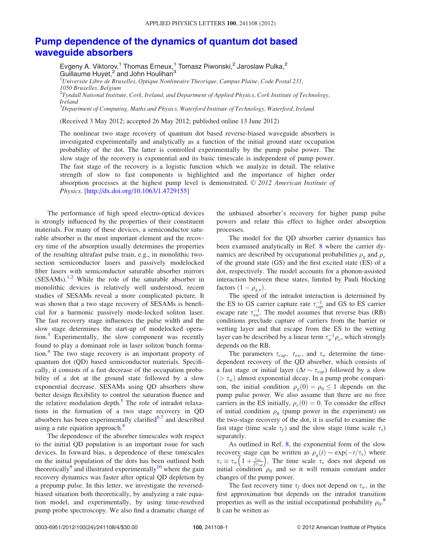## <span id="page-2-0"></span>[Pump dependence of the dynamics of quantum dot based](http://dx.doi.org/10.1063/1.4729155) [waveguide absorbers](http://dx.doi.org/10.1063/1.4729155)

Evgeny A. Viktorov,<sup>1</sup> Thomas Erneux,<sup>1</sup> Tomasz Piwonski,<sup>2</sup> Jaroslaw Pulka,<sup>2</sup> Guillaume Huyet, $2$  and John Houlihan $3$ <sup>1</sup>Universite Libre de Bruxelles, Optique Nonlineaire Theorique, Campus Plaine, Code Postal 231, 1050 Bruxelles, Belgium  $^2$ Tyndall National Institute, Cork, Ireland, and Department of Applied Physics, Cork Institute of Technology, Ireland  $^3$ Department of Computing, Maths and Physics, Waterford Institute of Technology, Waterford, Ireland

(Received 3 May 2012; accepted 26 May 2012; published online 13 June 2012)

The nonlinear two stage recovery of quantum dot based reverse-biased waveguide absorbers is investigated experimentally and analytically as a function of the initial ground state occupation probability of the dot. The latter is controlled experimentally by the pump pulse power. The slow stage of the recovery is exponential and its basic timescale is independent of pump power. The fast stage of the recovery is a logistic function which we analyze in detail. The relative strength of slow to fast components is highlighted and the importance of higher order absorption processes at the highest pump level is demonstrated.  $\odot$  2012 American Institute of Physics. [\[http://dx.doi.org/10.1063/1.4729155\]](http://dx.doi.org/10.1063/1.4729155)

The performance of high speed electro-optical devices is strongly influenced by the properties of their constituent materials. For many of these devices, a semiconductor saturable absorber is the most important element and the recovery time of the absorption usually determines the properties of the resulting ultrafast pulse train, e.g., in monolithic twosection semiconductor lasers and passively modelocked fiber lasers with semiconductor saturable absorber mirrors  $(SESAMS).<sup>1,2</sup>$  $(SESAMS).<sup>1,2</sup>$  $(SESAMS).<sup>1,2</sup>$  $(SESAMS).<sup>1,2</sup>$  $(SESAMS).<sup>1,2</sup>$  While the role of the saturable absorber in monolithic devices is relatively well understood, recent studies of SESAMs reveal a more complicated picture. It was shown that a two stage recovery of SESAMs is beneficial for a harmonic passively mode-locked soliton laser. The fast recovery stage influences the pulse width and the slow stage determines the start-up of modelocked opera-tion.<sup>[3](#page-5-0)</sup> Experimentally, the slow component was recently found to play a dominant role in laser soliton bunch forma-tion.<sup>[4](#page-5-0)</sup> The two stage recovery is an important property of quantum dot (QD) based semiconductor materials. Specifically, it consists of a fast decrease of the occupation probability of a dot at the ground state followed by a slow exponential decrease. SESAMs using QD absorbers show better design flexibility to control the saturation fluence and the relative modulation depth. $5$  The role of intradot relaxations in the formation of a two stage recovery in QD absorbers has been experimentally clarified $6,7$  and described using a rate equation approach.<sup>[8](#page-5-0)</sup>

The dependence of the absorber timescales with respect to the initial QD population is an important issue for such devices. In forward bias, a dependence of these timescales on the initial population of the dots has been outlined both theoretically<sup>[9](#page-5-0)</sup> and illustrated experimentally<sup>[10](#page-5-0)</sup> where the gain recovery dynamics was faster after optical QD depletion by a prepump pulse. In this letter, we investigate the reversedbiased situation both theoretically, by analyzing a rate equation model, and experimentally, by using time-resolved pump probe spectroscopy. We also find a dramatic change of the unbiased absorber's recovery for higher pump pulse powers and relate this effect to higher order absorption processes.

The model for the QD absorber carrier dynamics has been examined analytically in Ref. [8](#page-5-0) where the carrier dynamics are described by occupational probabilities  $\rho_{\varrho}$  and  $\rho_{e}$ of the ground state (GS) and the first excited state (ES) of a dot, respectively. The model accounts for a phonon-assisted interaction between these states, limited by Pauli blocking factors  $(1 - \rho_{g,e})$ .

The speed of the intradot interaction is determined by the ES to GS carrier capture rate  $\tau_{cap}^{-1}$  and GS to ES carrier escape rate  $\tau_{esc}^{-1}$ . The model assumes that reverse bias (RB) conditions preclude capture of carriers from the barrier or wetting layer and that escape from the ES to the wetting layer can be described by a linear term  $\tau_w^{-1} \rho_e$ , which strongly depends on the RB.

The parameters  $\tau_{cap}$ ,  $\tau_{esc}$ , and  $\tau_w$  determine the timedependent recovery of the QD absorber, which consists of a fast stage or initial layer ( $\Delta t \sim \tau_{cap}$ ) followed by a slow  $(>\tau_w)$  almost exponential decay. In a pump probe comparison, the initial condition  $\rho_g(0) = \rho_0 \leq 1$  depends on the pump pulse power. We also assume that there are no free carriers in the ES initially,  $\rho_e(0) = 0$ . To consider the effect of initial condition  $\rho_0$  (pump power in the experiment) on the two-stage recovery of the dot, it is useful to examine the fast stage (time scale  $\tau_f$ ) and the slow stage (time scale  $\tau_s$ ) separately.

As outlined in Ref. [8](#page-5-0), the exponential form of the slow recovery stage can be written as  $\rho_g(t) \sim \exp(-t/\tau_s)$  where recovery stage can be written as  $\rho_g(t) \sim \exp(-t/\tau_s)$  where  $\tau_s \equiv \tau_w \left(1 + \frac{\tau_{esc}}{2\tau_{cap}}\right)$ . The time scale  $\tau_s$  does not depend on initial condition  $\rho_0$  and so it will remain constant under changes of the pump power.

The fast recovery time  $\tau_f$  does not depend on  $\tau_w$ , in the first approximation but depends on the intradot transition properties as well as the initial occupational probability  $\rho_0$ .<sup>[8](#page-5-0)</sup> It can be written as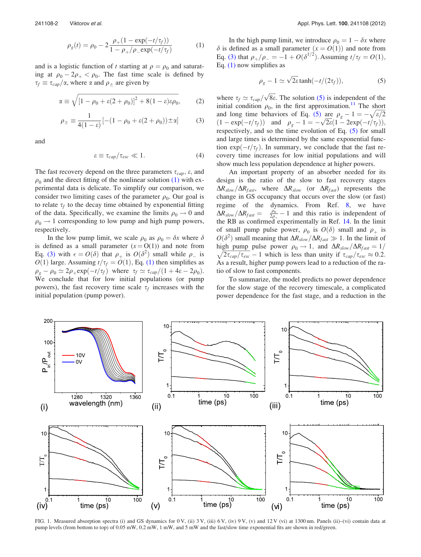<span id="page-3-0"></span>

$$
\rho_g(t) = \rho_0 - 2 \frac{\rho_+(1 - \exp(-t/\tau_f))}{1 - \rho_+/\rho_- \exp(-t/\tau_f)}
$$
(1)

and is a logistic function of t starting at  $\rho = \rho_0$  and saturating at  $\rho_0 - 2\rho_+ < \rho_0$ . The fast time scale is defined by  $\tau_f \equiv \tau_{cap}/\alpha$ , where  $\alpha$  and  $\rho_{\pm}$  are given by

$$
\alpha \equiv \sqrt{\left[1 - \rho_0 + \varepsilon (2 + \rho_0)\right]^2 + 8(1 - \varepsilon)\varepsilon \rho_0},\tag{2}
$$

$$
\rho_{\pm} \equiv \frac{1}{4(1 - \varepsilon)} [-(1 - \rho_0 + \varepsilon(2 + \rho_0)) \pm \alpha] \tag{3}
$$

and

$$
\varepsilon \equiv \tau_{cap}/\tau_{esc} \ll 1. \tag{4}
$$

The fast recovery depend on the three parameters  $\tau_{cap}$ ,  $\varepsilon$ , and  $\rho_0$  and the direct fitting of the nonlinear solution [\(1\)](#page-2-0) with experimental data is delicate. To simplify our comparison, we consider two limiting cases of the parameter  $\rho_0$ . Our goal is to relate  $\tau_f$  to the decay time obtained by exponential fitting of the data. Specifically, we examine the limits  $\rho_0 \rightarrow 0$  and  $\rho_0 \rightarrow 1$  corresponding to low pump and high pump powers, respectively.

In the low pump limit, we scale  $\rho_0$  as  $\rho_0 = \delta x$  where  $\delta$ is defined as a small parameter  $(x = O(1))$  and note from Eq. (3) with  $\epsilon = O(\delta)$  that  $\rho_+$  is  $O(\delta^2)$  small while  $\rho_-$  is  $O(1)$  $O(1)$  large. Assuming  $t/\tau_f = O(1)$ , Eq. (1) then simplifies as  $\rho_g - \rho_0 \simeq 2\rho_+ \exp(-t/\tau_f)$  where  $\tau_f \simeq \tau_{cap}/(1+4\varepsilon-2\rho_0)$ . We conclude that for low initial populations (or pump powers), the fast recovery time scale  $\tau_f$  increases with the initial population (pump power).

In the high pump limit, we introduce  $\rho_0 = 1 - \delta x$  where  $\delta$  is defined as a small parameter  $(x = O(1))$  and note from Eq. (3) that  $\rho_+/\rho_- = -1 + O(\delta^{1/2})$ . Assuming  $t/\tau_f = O(1)$ , Eq. [\(1\)](#page-2-0) now simplifies as

$$
\rho_g - 1 \simeq \sqrt{2\varepsilon} \tanh(-t/(2\tau_f)), \tag{5}
$$

where  $\tau_f \simeq \tau_{cap}/\sqrt{8\epsilon}$ . The solution (5) is independent of the initial condition  $\rho_0$ , in the first approximation.<sup>[11](#page-5-0)</sup> The short and long time behaviors of Eq. (5) are  $\rho_g - 1 = -\sqrt{\varepsilon/2}$ and long time behaviors of Eq. (5) are  $\rho_g - 1 = -\sqrt{\varepsilon/2}$ <br>  $(1 - \exp(-t/\tau_f))$  and  $\rho_g - 1 = -\sqrt{2\varepsilon}(1 - 2\exp(-t/\tau_f)),$ respectively, and so the time evolution of Eq. (5) for small and large times is determined by the same exponential function  $\exp(-t/\tau_f)$ . In summary, we conclude that the fast recovery time increases for low initial populations and will show much less population dependence at higher powers.

An important property of an absorber needed for its design is the ratio of the slow to fast recovery stages  $\Delta R_{slow}/\Delta R_{fast}$ , where  $\Delta R_{slow}$  (or  $\Delta R_{fast}$ ) represents the change in GS occupancy that occurs over the slow (or fast) regime of the dynamics. From Ref. [8,](#page-5-0) we have  $\Delta R_{slow}/\Delta R_{fast} = \frac{\rho_0}{2\rho_+} - 1$  and this ratio is independent of the RB as confirmed experimentally in Ref. [14.](#page-5-0) In the limit of small pump pulse power,  $\rho_0$  is  $O(\delta)$  small and  $\rho_+$  is  $O(\delta^2)$  small meaning that  $\Delta R_{slow}/\Delta R_{fast} \gg 1$ . In the limit of high pump pulse power  $\rho_0 \rightarrow 1$ , and  $\Delta R_{slow}/\Delta R_{fast} = 1/$  $\sqrt{2\tau_{cap}/\tau_{esc}}$  - 1 which is less than unity if  $\tau_{cap}/\tau_{esc} \approx 0.2$ . As a result, higher pump powers lead to a reduction of the ratio of slow to fast components.

To summarize, the model predicts no power dependence for the slow stage of the recovery timescale, a complicated power dependence for the fast stage, and a reduction in the



FIG. 1. Measured absorption spectra (i) and GS dynamics for 0 V, (ii) 3 V, (iii) 6 V, (iv) 9 V, (v) and 12 V (vi) at 1300 nm. Panels (ii)–(vi) contain data at pump levels (from bottom to top) of 0.05 mW, 0.2 mW, 1 mW, and 5 mW and the fast/slow time exponential fits are shown in red/green.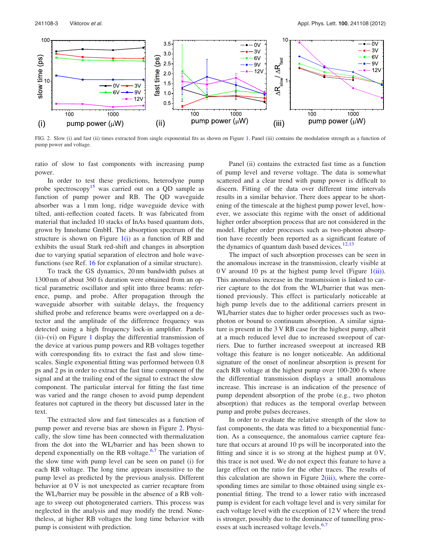

FIG. 2. Slow (i) and fast (ii) times extracted from single exponential fits as shown on Figure [1.](#page-3-0) Panel (iii) contains the modulation strength as a function of pump power and voltage.

ratio of slow to fast components with increasing pump power.

In order to test these predictions, heterodyne pump probe spectroscopy<sup>[15](#page-5-0)</sup> was carried out on a QD sample as function of pump power and RB. The QD waveguide absorber was a 1 mm long, ridge waveguide device with tilted, anti-reflection coated facets. It was fabricated from material that included 10 stacks of InAs based quantum dots, grown by Innolume GmbH. The absorption spectrum of the structure is shown on Figure  $1(i)$  as a function of RB and exhibits the usual Stark red-shift and changes in absorption due to varying spatial separation of electron and hole wavefunctions (see Ref. [16](#page-5-0) for explanation of a similar structure).

To track the GS dynamics, 20 nm bandwidth pulses at 1300 nm of about 360 fs duration were obtained from an optical parametric oscillator and split into three beams: reference, pump, and probe. After propagation through the waveguide absorber with suitable delays, the frequency shifted probe and reference beams were overlapped on a detector and the amplitude of the difference frequency was detected using a high frequency lock-in amplifier. Panels (ii)–(vi) on Figure [1](#page-3-0) display the differential transmission of the device at various pump powers and RB voltages together with corresponding fits to extract the fast and slow timescales. Single exponential fitting was performed between 0.8 ps and 2 ps in order to extract the fast time component of the signal and at the trailing end of the signal to extract the slow component. The particular interval for fitting the fast time was varied and the range chosen to avoid pump dependent features not captured in the theory but discussed later in the text.

The extracted slow and fast timescales as a function of pump power and reverse bias are shown in Figure 2. Physically, the slow time has been connected with thermalization from the dot into the WL/barrier and has been shown to depend exponentially on the RB voltage.<sup>[6](#page-5-0),[7](#page-5-0)</sup> The variation of the slow time with pump level can be seen on panel (i) for each RB voltage. The long time appears insensitive to the pump level as predicted by the previous analysis. Different behavior at 0 V is not unexpected as carrier recapture from the WL/barrier may be possible in the absence of a RB voltage to sweep out photogenerated carriers. This process was neglected in the analysis and may modify the trend. Nonetheless, at higher RB voltages the long time behavior with pump is consistent with prediction.

Panel (ii) contains the extracted fast time as a function of pump level and reverse voltage. The data is somewhat scattered and a clear trend with pump power is difficult to discern. Fitting of the data over different time intervals results in a similar behavior. There does appear to be shortening of the timescale at the highest pump power level, however, we associate this regime with the onset of additional higher order absorption process that are not considered in the model. Higher order processes such as two-photon absorption have recently been reported as a significant feature of the dynamics of quantum dash based devices. $12,13$ 

The impact of such absorption processes can be seen in the anomalous increase in the transmission, clearly visible at  $0 \text{ V}$  around  $10 \text{ ps}$  at the highest pump level (Figure 1(ii)). This anomalous increase in the transmission is linked to carrier capture to the dot from the WL/barrier that was mentioned previously. This effect is particularly noticeable at high pump levels due to the additional carriers present in WL/barrier states due to higher order processes such as twophoton or bound to continuum absorption. A similar signature is present in the 3 V RB case for the highest pump, albeit at a much reduced level due to increased sweepout of carriers. Due to further increased sweepout at increased RB voltage this feature is no longer noticeable. An additional signature of the onset of nonlinear absorption is present for each RB voltage at the highest pump over 100-200 fs where the differential transmission displays a small anomalous increase. This increase is an indication of the presence of pump dependent absorption of the probe (e.g., two photon absorption) that reduces as the temporal overlap between pump and probe pulses decreases.

In order to evaluate the relative strength of the slow to fast components, the data was fitted to a biexponential function. As a consequence, the anomalous carrier capture feature that occurs at around 10 ps will be incorporated into the fitting and since it is so strong at the highest pump at  $0<sup>V</sup>$ , this trace is not used. We do not expect this feature to have a large effect on the ratio for the other traces. The results of this calculation are shown in Figure  $2(iii)$ , where the corresponding times are similar to those obtained using single exponential fitting. The trend to a lower ratio with increased pump is evident for each voltage level and is very similar for each voltage level with the exception of 12 V where the trend is stronger, possibly due to the dominance of tunnelling proc-esses at such increased voltage levels.<sup>[6,7](#page-5-0)</sup>